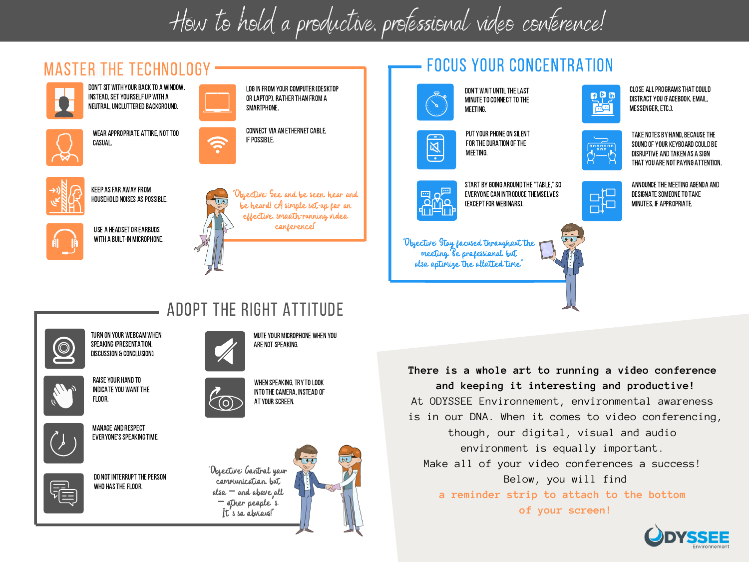## How to hold a productive, professional video conference!





MANAGE AND RESPECT **EVERYONE'S SPEAKING TIME.** 

INDICATE YOU WANT THE

FLOOR.



WHO HAS THE FLOOR.

DO NOT INTERRUPT THE PERSON



WHEN SPEAKING, TRY TO LOOK INTO THE CAMERA, INSTEAD OF **AT YOUR SCREEN.** 



**and keeping it interesting and productive!** At ODYSSEE Environnement, environmental awareness is in our DNA. When it comes to video conferencing, though, our digital, visual and audio environment is equally important. Make all of your video conferences a success! Below, you will find **a reminder strip to attach to the bottom of your screen!**